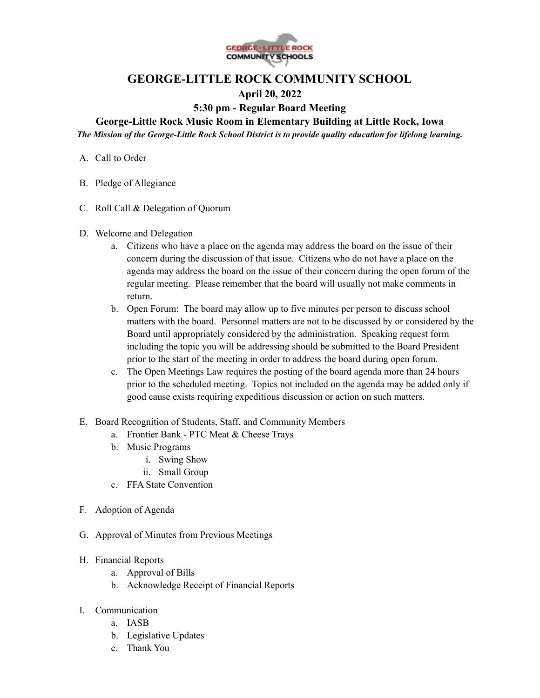

## **GEORGE-LITTLE ROCK COMMUNITY SCHOOL**

## **April 20, 2022**

## **5:30 pm - Regular Board Meeting**

**George-Little Rock Music Room in Elementary Building at Little Rock, Iowa**

*The Mission of the George-Little Rock School District is to provide quality education for lifelong learning.*

- A. Call to Order
- B. Pledge of Allegiance
- C. Roll Call & Delegation of Quorum
- D. Welcome and Delegation
	- a. Citizens who have a place on the agenda may address the board on the issue of their concern during the discussion of that issue. Citizens who do not have a place on the agenda may address the board on the issue of their concern during the open forum of the regular meeting. Please remember that the board will usually not make comments in return.
	- b. Open Forum: The board may allow up to five minutes per person to discuss school matters with the board. Personnel matters are not to be discussed by or considered by the Board until appropriately considered by the administration. Speaking request form including the topic you will be addressing should be submitted to the Board President prior to the start of the meeting in order to address the board during open forum.
	- c. The Open Meetings Law requires the posting of the board agenda more than 24 hours prior to the scheduled meeting. Topics not included on the agenda may be added only if good cause exists requiring expeditious discussion or action on such matters.
- E. Board Recognition of Students, Staff, and Community Members
	- a. Frontier Bank PTC Meat & Cheese Trays
	- b. Music Programs
		- i. Swing Show
		- ii. Small Group
	- c. FFA State Convention
- F. Adoption of Agenda
- G. Approval of Minutes from Previous Meetings
- H. Financial Reports
	- a. Approval of Bills
	- b. Acknowledge Receipt of Financial Reports
- I. Communication
	- a. IASB
	- b. Legislative Updates
	- c. Thank You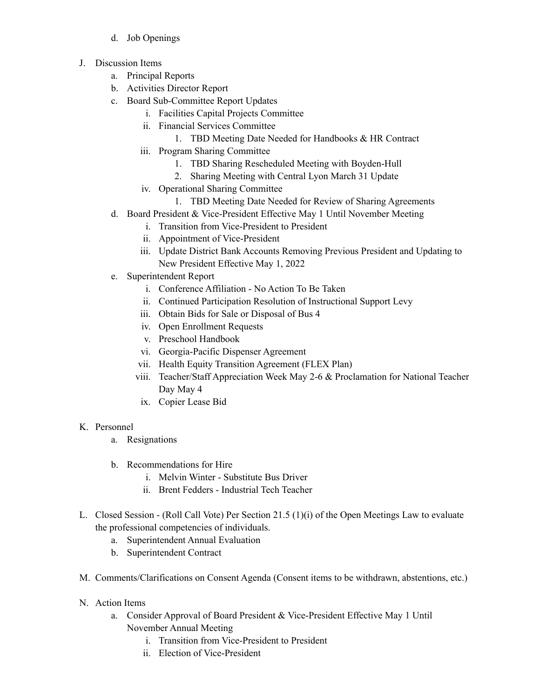- d. Job Openings
- J. Discussion Items
	- a. Principal Reports
	- b. Activities Director Report
	- c. Board Sub-Committee Report Updates
		- i. Facilities Capital Projects Committee
		- ii. Financial Services Committee
			- 1. TBD Meeting Date Needed for Handbooks & HR Contract
		- iii. Program Sharing Committee
			- 1. TBD Sharing Rescheduled Meeting with Boyden-Hull
			- 2. Sharing Meeting with Central Lyon March 31 Update
		- iv. Operational Sharing Committee
			- 1. TBD Meeting Date Needed for Review of Sharing Agreements
	- d. Board President & Vice-President Effective May 1 Until November Meeting
		- i. Transition from Vice-President to President
		- ii. Appointment of Vice-President
		- iii. Update District Bank Accounts Removing Previous President and Updating to New President Effective May 1, 2022
	- e. Superintendent Report
		- i. Conference Affiliation No Action To Be Taken
		- ii. Continued Participation Resolution of Instructional Support Levy
		- iii. Obtain Bids for Sale or Disposal of Bus 4
		- iv. Open Enrollment Requests
		- v. Preschool Handbook
		- vi. Georgia-Pacific Dispenser Agreement
		- vii. Health Equity Transition Agreement (FLEX Plan)
		- viii. Teacher/Staff Appreciation Week May 2-6 & Proclamation for National Teacher Day May 4
		- ix. Copier Lease Bid

## K. Personnel

- a. Resignations
- b. Recommendations for Hire
	- i. Melvin Winter Substitute Bus Driver
	- ii. Brent Fedders Industrial Tech Teacher
- L. Closed Session (Roll Call Vote) Per Section 21.5 (1)(i) of the Open Meetings Law to evaluate the professional competencies of individuals.
	- a. Superintendent Annual Evaluation
	- b. Superintendent Contract
- M. Comments/Clarifications on Consent Agenda (Consent items to be withdrawn, abstentions, etc.)
- N. Action Items
	- a. Consider Approval of Board President & Vice-President Effective May 1 Until November Annual Meeting
		- i. Transition from Vice-President to President
		- ii. Election of Vice-President